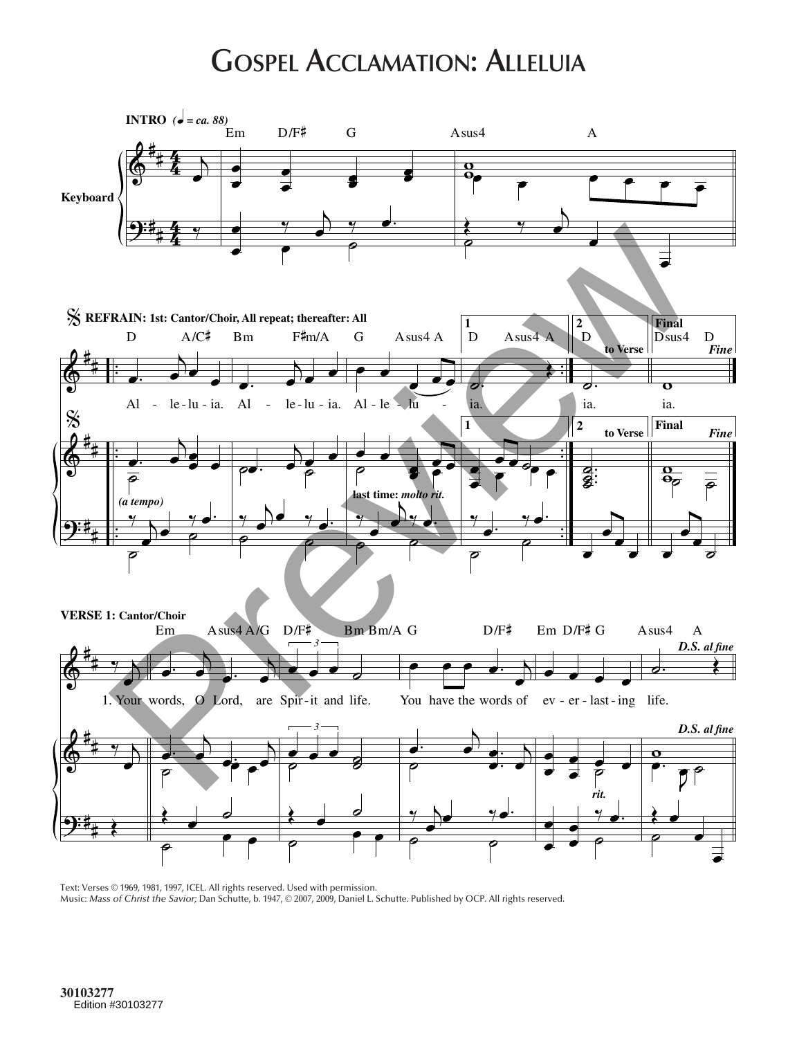## **Gospel Acclamation: Alleluia**



Text: Verses © 1969, 1981, 1997, ICEL. All rights reserved. Used with permission. Music: *Mass of Christ the Savior;* Dan Schutte, b. 1947, © 2007, 2009, Daniel L. Schutte. Published by OCP. All rights reserved.